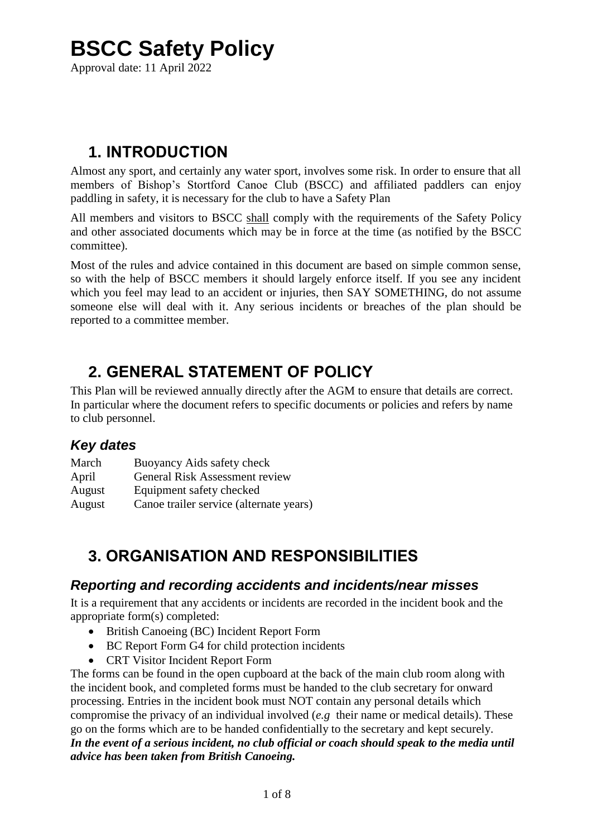# **BSCC Safety Policy**

Approval date: 11 April 2022

# **1. INTRODUCTION**

Almost any sport, and certainly any water sport, involves some risk. In order to ensure that all members of Bishop's Stortford Canoe Club (BSCC) and affiliated paddlers can enjoy paddling in safety, it is necessary for the club to have a Safety Plan

All members and visitors to BSCC shall comply with the requirements of the Safety Policy and other associated documents which may be in force at the time (as notified by the BSCC committee).

Most of the rules and advice contained in this document are based on simple common sense, so with the help of BSCC members it should largely enforce itself. If you see any incident which you feel may lead to an accident or injuries, then SAY SOMETHING, do not assume someone else will deal with it. Any serious incidents or breaches of the plan should be reported to a committee member.

# **2. GENERAL STATEMENT OF POLICY**

This Plan will be reviewed annually directly after the AGM to ensure that details are correct. In particular where the document refers to specific documents or policies and refers by name to club personnel.

## *Key dates*

| March  | Buoyancy Aids safety check              |
|--------|-----------------------------------------|
| April  | <b>General Risk Assessment review</b>   |
| August | Equipment safety checked                |
| August | Canoe trailer service (alternate years) |

# **3. ORGANISATION AND RESPONSIBILITIES**

### *Reporting and recording accidents and incidents/near misses*

It is a requirement that any accidents or incidents are recorded in the incident book and the appropriate form(s) completed:

- British Canoeing (BC) Incident Report Form
- BC Report Form G4 for child protection incidents
- CRT Visitor Incident Report Form

The forms can be found in the open cupboard at the back of the main club room along with the incident book, and completed forms must be handed to the club secretary for onward processing. Entries in the incident book must NOT contain any personal details which compromise the privacy of an individual involved (*e.g* their name or medical details). These go on the forms which are to be handed confidentially to the secretary and kept securely. *In the event of a serious incident, no club official or coach should speak to the media until advice has been taken from British Canoeing.*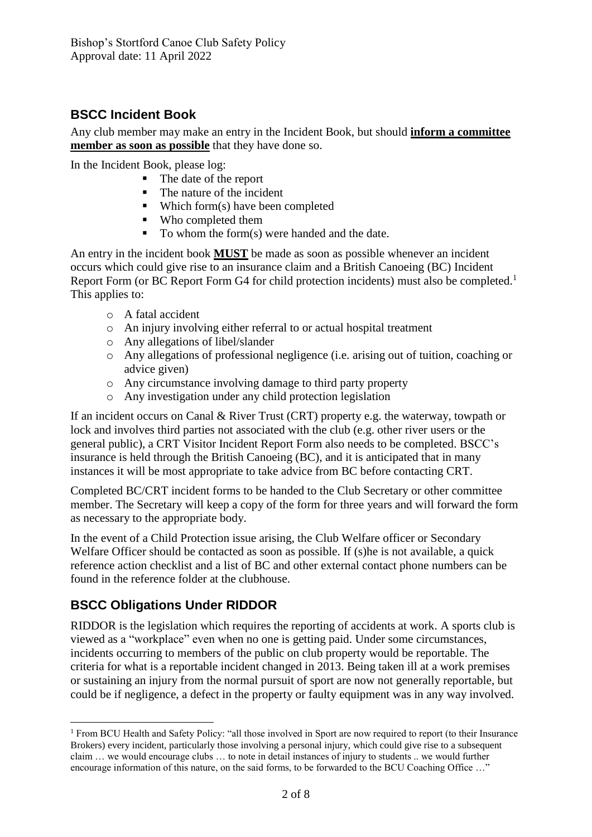## **BSCC Incident Book**

Any club member may make an entry in the Incident Book, but should **inform a committee member as soon as possible** that they have done so.

In the Incident Book, please log:

- The date of the report
- The nature of the incident
- Which form(s) have been completed
- Who completed them
- $\blacksquare$  To whom the form(s) were handed and the date.

An entry in the incident book **MUST** be made as soon as possible whenever an incident occurs which could give rise to an insurance claim and a British Canoeing (BC) Incident Report Form (or BC Report Form G4 for child protection incidents) must also be completed.<sup>1</sup> This applies to:

- o A fatal accident
- o An injury involving either referral to or actual hospital treatment
- o Any allegations of libel/slander
- o Any allegations of professional negligence (i.e. arising out of tuition, coaching or advice given)
- o Any circumstance involving damage to third party property
- o Any investigation under any child protection legislation

If an incident occurs on Canal & River Trust (CRT) property e.g. the waterway, towpath or lock and involves third parties not associated with the club (e.g. other river users or the general public), a CRT Visitor Incident Report Form also needs to be completed. BSCC's insurance is held through the British Canoeing (BC), and it is anticipated that in many instances it will be most appropriate to take advice from BC before contacting CRT.

Completed BC/CRT incident forms to be handed to the Club Secretary or other committee member. The Secretary will keep a copy of the form for three years and will forward the form as necessary to the appropriate body.

In the event of a Child Protection issue arising, the Club Welfare officer or Secondary Welfare Officer should be contacted as soon as possible. If (s) he is not available, a quick reference action checklist and a list of BC and other external contact phone numbers can be found in the reference folder at the clubhouse.

## **BSCC Obligations Under RIDDOR**

RIDDOR is the legislation which requires the reporting of accidents at work. A sports club is viewed as a "workplace" even when no one is getting paid. Under some circumstances, incidents occurring to members of the public on club property would be reportable. The criteria for what is a reportable incident changed in 2013. Being taken ill at a work premises or sustaining an injury from the normal pursuit of sport are now not generally reportable, but could be if negligence, a defect in the property or faulty equipment was in any way involved.

<sup>&</sup>lt;sup>1</sup> From BCU Health and Safety Policy: "all those involved in Sport are now required to report (to their Insurance Brokers) every incident, particularly those involving a personal injury, which could give rise to a subsequent claim … we would encourage clubs … to note in detail instances of injury to students .. we would further encourage information of this nature, on the said forms, to be forwarded to the BCU Coaching Office …"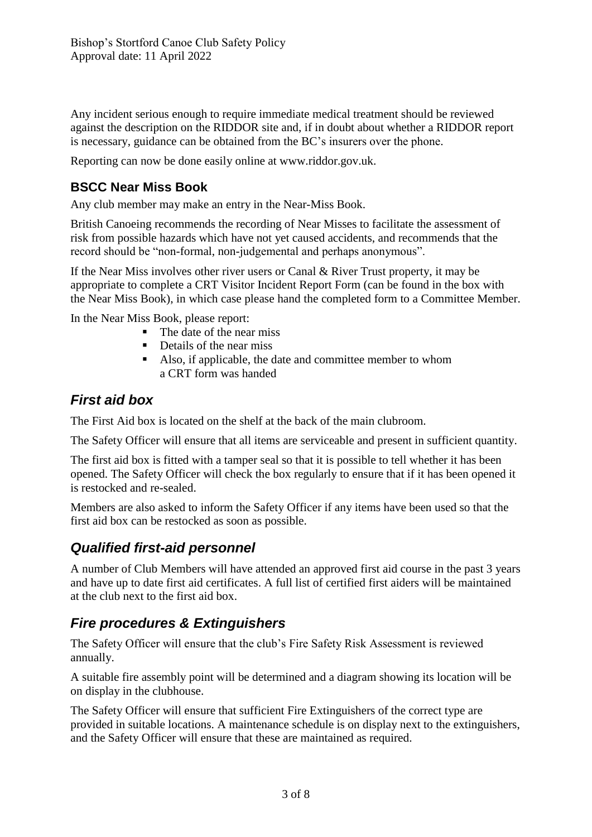Any incident serious enough to require immediate medical treatment should be reviewed against the description on the RIDDOR site and, if in doubt about whether a RIDDOR report is necessary, guidance can be obtained from the BC's insurers over the phone.

Reporting can now be done easily online at www.riddor.gov.uk.

## **BSCC Near Miss Book**

Any club member may make an entry in the Near-Miss Book.

British Canoeing recommends the recording of Near Misses to facilitate the assessment of risk from possible hazards which have not yet caused accidents, and recommends that the record should be "non-formal, non-judgemental and perhaps anonymous".

If the Near Miss involves other river users or Canal & River Trust property, it may be appropriate to complete a CRT Visitor Incident Report Form (can be found in the box with the Near Miss Book), in which case please hand the completed form to a Committee Member.

In the Near Miss Book, please report:

- The date of the near miss
- Details of the near miss
- Also, if applicable, the date and committee member to whom a CRT form was handed

### *First aid box*

The First Aid box is located on the shelf at the back of the main clubroom.

The Safety Officer will ensure that all items are serviceable and present in sufficient quantity.

The first aid box is fitted with a tamper seal so that it is possible to tell whether it has been opened. The Safety Officer will check the box regularly to ensure that if it has been opened it is restocked and re-sealed.

Members are also asked to inform the Safety Officer if any items have been used so that the first aid box can be restocked as soon as possible.

## *Qualified first-aid personnel*

A number of Club Members will have attended an approved first aid course in the past 3 years and have up to date first aid certificates. A full list of certified first aiders will be maintained at the club next to the first aid box.

## *Fire procedures & Extinguishers*

The Safety Officer will ensure that the club's Fire Safety Risk Assessment is reviewed annually.

A suitable fire assembly point will be determined and a diagram showing its location will be on display in the clubhouse.

The Safety Officer will ensure that sufficient Fire Extinguishers of the correct type are provided in suitable locations. A maintenance schedule is on display next to the extinguishers, and the Safety Officer will ensure that these are maintained as required.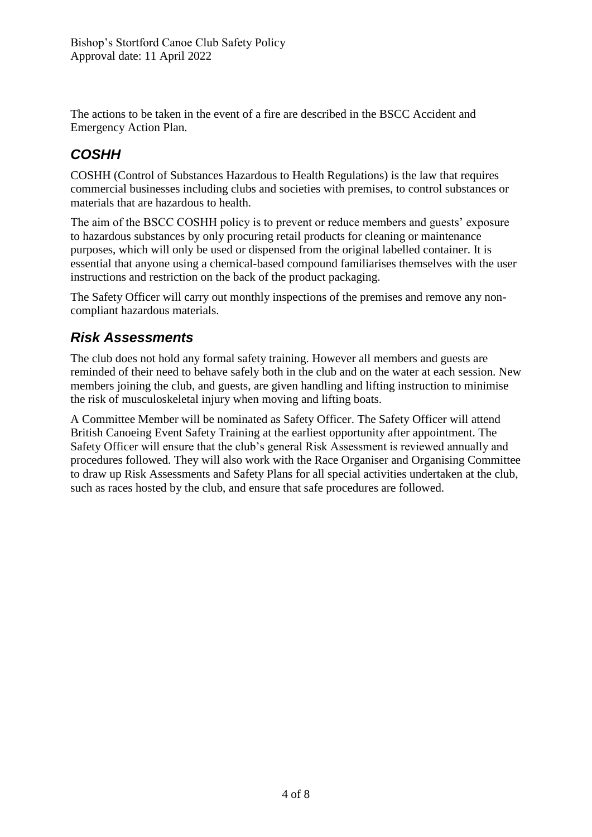The actions to be taken in the event of a fire are described in the BSCC Accident and Emergency Action Plan.

# *COSHH*

COSHH (Control of Substances Hazardous to Health Regulations) is the law that requires commercial businesses including clubs and societies with premises, to control substances or materials that are hazardous to health.

The aim of the BSCC COSHH policy is to prevent or reduce members and guests' exposure to hazardous substances by only procuring retail products for cleaning or maintenance purposes, which will only be used or dispensed from the original labelled container. It is essential that anyone using a chemical-based compound familiarises themselves with the user instructions and restriction on the back of the product packaging.

The Safety Officer will carry out monthly inspections of the premises and remove any noncompliant hazardous materials.

# *Risk Assessments*

The club does not hold any formal safety training. However all members and guests are reminded of their need to behave safely both in the club and on the water at each session. New members joining the club, and guests, are given handling and lifting instruction to minimise the risk of musculoskeletal injury when moving and lifting boats.

A Committee Member will be nominated as Safety Officer. The Safety Officer will attend British Canoeing Event Safety Training at the earliest opportunity after appointment. The Safety Officer will ensure that the club's general Risk Assessment is reviewed annually and procedures followed. They will also work with the Race Organiser and Organising Committee to draw up Risk Assessments and Safety Plans for all special activities undertaken at the club, such as races hosted by the club, and ensure that safe procedures are followed.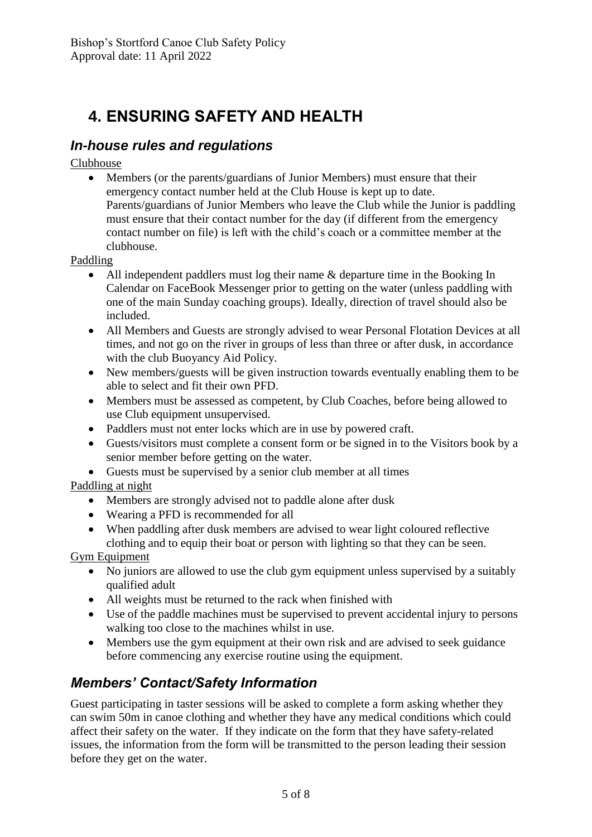# **4. ENSURING SAFETY AND HEALTH**

## *In-house rules and regulations*

Clubhouse

 Members (or the parents/guardians of Junior Members) must ensure that their emergency contact number held at the Club House is kept up to date. Parents/guardians of Junior Members who leave the Club while the Junior is paddling must ensure that their contact number for the day (if different from the emergency contact number on file) is left with the child's coach or a committee member at the clubhouse.

Paddling

- All independent paddlers must log their name & departure time in the Booking In Calendar on FaceBook Messenger prior to getting on the water (unless paddling with one of the main Sunday coaching groups). Ideally, direction of travel should also be included.
- All Members and Guests are strongly advised to wear Personal Flotation Devices at all times, and not go on the river in groups of less than three or after dusk, in accordance with the club Buoyancy Aid Policy.
- New members/guests will be given instruction towards eventually enabling them to be able to select and fit their own PFD.
- Members must be assessed as competent, by Club Coaches, before being allowed to use Club equipment unsupervised.
- Paddlers must not enter locks which are in use by powered craft.
- Guests/visitors must complete a consent form or be signed in to the Visitors book by a senior member before getting on the water.
- Guests must be supervised by a senior club member at all times

#### Paddling at night

- Members are strongly advised not to paddle alone after dusk
- Wearing a PFD is recommended for all
- When paddling after dusk members are advised to wear light coloured reflective clothing and to equip their boat or person with lighting so that they can be seen.

Gym Equipment

- No juniors are allowed to use the club gym equipment unless supervised by a suitably qualified adult
- All weights must be returned to the rack when finished with
- Use of the paddle machines must be supervised to prevent accidental injury to persons walking too close to the machines whilst in use.
- Members use the gym equipment at their own risk and are advised to seek guidance before commencing any exercise routine using the equipment.

# *Members' Contact/Safety Information*

Guest participating in taster sessions will be asked to complete a form asking whether they can swim 50m in canoe clothing and whether they have any medical conditions which could affect their safety on the water. If they indicate on the form that they have safety-related issues, the information from the form will be transmitted to the person leading their session before they get on the water.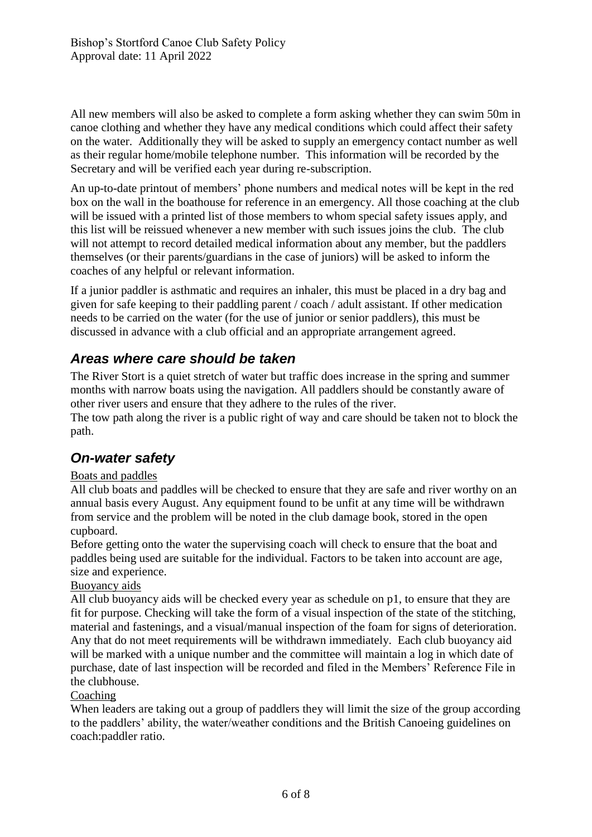All new members will also be asked to complete a form asking whether they can swim 50m in canoe clothing and whether they have any medical conditions which could affect their safety on the water. Additionally they will be asked to supply an emergency contact number as well as their regular home/mobile telephone number. This information will be recorded by the Secretary and will be verified each year during re-subscription.

An up-to-date printout of members' phone numbers and medical notes will be kept in the red box on the wall in the boathouse for reference in an emergency. All those coaching at the club will be issued with a printed list of those members to whom special safety issues apply, and this list will be reissued whenever a new member with such issues joins the club. The club will not attempt to record detailed medical information about any member, but the paddlers themselves (or their parents/guardians in the case of juniors) will be asked to inform the coaches of any helpful or relevant information.

If a junior paddler is asthmatic and requires an inhaler, this must be placed in a dry bag and given for safe keeping to their paddling parent / coach / adult assistant. If other medication needs to be carried on the water (for the use of junior or senior paddlers), this must be discussed in advance with a club official and an appropriate arrangement agreed.

# *Areas where care should be taken*

The River Stort is a quiet stretch of water but traffic does increase in the spring and summer months with narrow boats using the navigation. All paddlers should be constantly aware of other river users and ensure that they adhere to the rules of the river. The tow path along the river is a public right of way and care should be taken not to block the path.

## *On-water safety*

#### Boats and paddles

All club boats and paddles will be checked to ensure that they are safe and river worthy on an annual basis every August. Any equipment found to be unfit at any time will be withdrawn from service and the problem will be noted in the club damage book, stored in the open cupboard.

Before getting onto the water the supervising coach will check to ensure that the boat and paddles being used are suitable for the individual. Factors to be taken into account are age, size and experience.

#### Buoyancy aids

All club buoyancy aids will be checked every year as schedule on p1, to ensure that they are fit for purpose. Checking will take the form of a visual inspection of the state of the stitching, material and fastenings, and a visual/manual inspection of the foam for signs of deterioration. Any that do not meet requirements will be withdrawn immediately. Each club buoyancy aid will be marked with a unique number and the committee will maintain a log in which date of purchase, date of last inspection will be recorded and filed in the Members' Reference File in the clubhouse.

#### Coaching

When leaders are taking out a group of paddlers they will limit the size of the group according to the paddlers' ability, the water/weather conditions and the British Canoeing guidelines on coach:paddler ratio.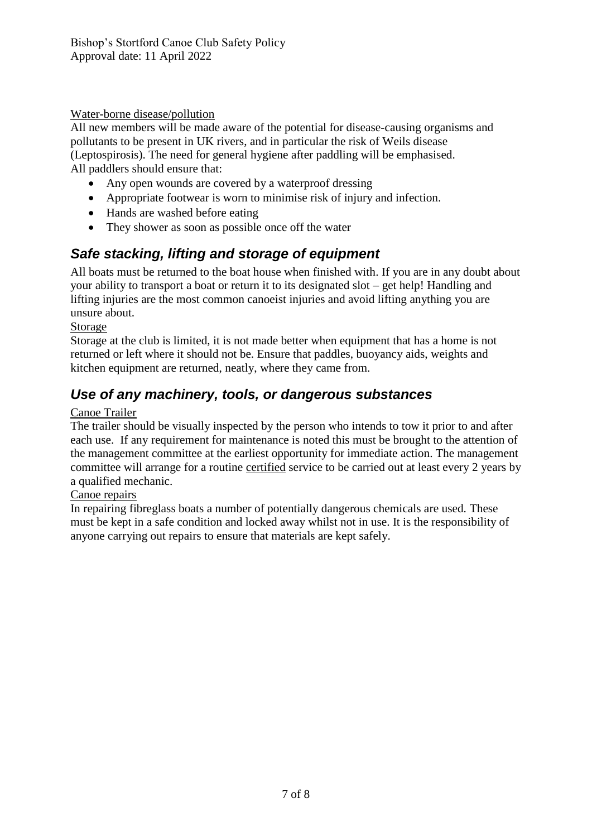#### Water-borne disease/pollution

All new members will be made aware of the potential for disease-causing organisms and pollutants to be present in UK rivers, and in particular the risk of Weils disease (Leptospirosis). The need for general hygiene after paddling will be emphasised. All paddlers should ensure that:

- Any open wounds are covered by a waterproof dressing
- Appropriate footwear is worn to minimise risk of injury and infection.
- Hands are washed before eating
- They shower as soon as possible once off the water

# *Safe stacking, lifting and storage of equipment*

All boats must be returned to the boat house when finished with. If you are in any doubt about your ability to transport a boat or return it to its designated slot – get help! Handling and lifting injuries are the most common canoeist injuries and avoid lifting anything you are unsure about.

#### Storage

Storage at the club is limited, it is not made better when equipment that has a home is not returned or left where it should not be. Ensure that paddles, buoyancy aids, weights and kitchen equipment are returned, neatly, where they came from.

# *Use of any machinery, tools, or dangerous substances*

#### Canoe Trailer

The trailer should be visually inspected by the person who intends to tow it prior to and after each use. If any requirement for maintenance is noted this must be brought to the attention of the management committee at the earliest opportunity for immediate action. The management committee will arrange for a routine certified service to be carried out at least every 2 years by a qualified mechanic.

#### Canoe repairs

In repairing fibreglass boats a number of potentially dangerous chemicals are used. These must be kept in a safe condition and locked away whilst not in use. It is the responsibility of anyone carrying out repairs to ensure that materials are kept safely.